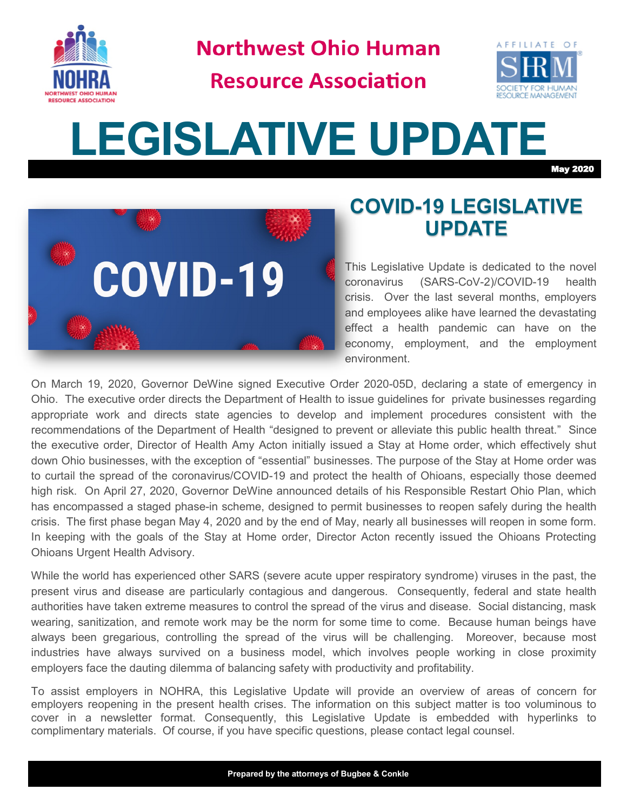

**Northwest Ohio Human** 

**Resource Association** 



# **LEGISLATIVE UPDATE**

May 2020



### **COVID-19 LEGISLATIVE UPDATE**

This Legislative Update is dedicated to the novel coronavirus (SARS-CoV-2)/COVID-19 health crisis. Over the last several months, employers and employees alike have learned the devastating effect a health pandemic can have on the economy, employment, and the employment environment.

On March 19, 2020, Governor DeWine signed Executive Order 2020-05D, declaring a state of emergency in Ohio. The executive order directs the Department of Health to issue guidelines for private businesses regarding appropriate work and directs state agencies to develop and implement procedures consistent with the recommendations of the Department of Health "designed to prevent or alleviate this public health threat." Since the executive order, Director of Health Amy Acton initially issued a Stay at Home order, which effectively shut down Ohio businesses, with the exception of "essential" businesses. The purpose of the Stay at Home order was to curtail the spread of the coronavirus/COVID-19 and protect the health of Ohioans, especially those deemed high risk. On April 27, 2020, Governor DeWine announced details of his Responsible Restart Ohio Plan, which has encompassed a staged phase-in scheme, designed to permit businesses to reopen safely during the health crisis. The first phase began May 4, 2020 and by the end of May, nearly all businesses will reopen in some form. In keeping with the goals of the Stay at Home order, Director Acton recently issued the Ohioans Protecting Ohioans Urgent Health Advisory.

While the world has experienced other SARS (severe acute upper respiratory syndrome) viruses in the past, the present virus and disease are particularly contagious and dangerous. Consequently, federal and state health authorities have taken extreme measures to control the spread of the virus and disease. Social distancing, mask wearing, sanitization, and remote work may be the norm for some time to come. Because human beings have always been gregarious, controlling the spread of the virus will be challenging. Moreover, because most industries have always survived on a business model, which involves people working in close proximity employers face the dauting dilemma of balancing safety with productivity and profitability.

To assist employers in NOHRA, this Legislative Update will provide an overview of areas of concern for employers reopening in the present health crises. The information on this subject matter is too voluminous to cover in a newsletter format. Consequently, this Legislative Update is embedded with hyperlinks to complimentary materials. Of course, if you have specific questions, please contact legal counsel.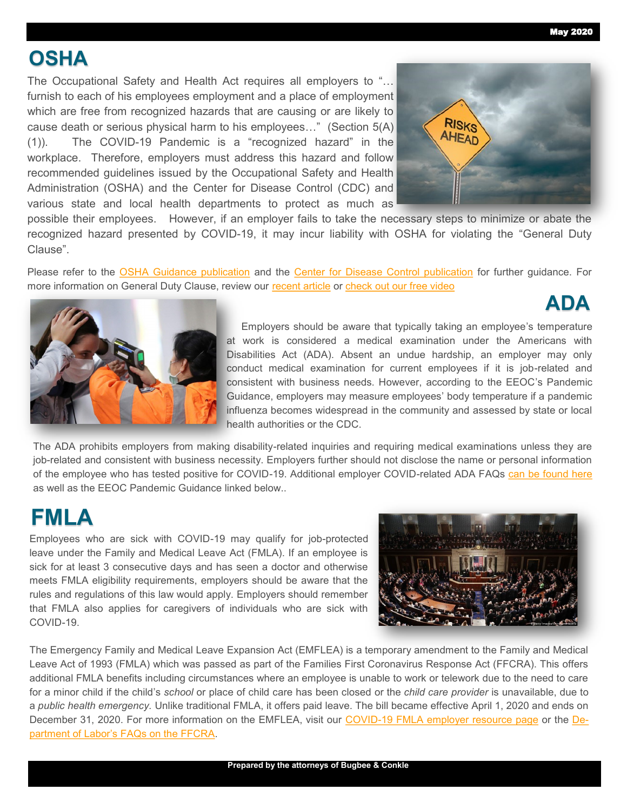May 2020

**ADA**

## **OSHA**

The Occupational Safety and Health Act requires all employers to "… furnish to each of his employees employment and a place of employment which are free from recognized hazards that are causing or are likely to cause death or serious physical harm to his employees…" (Section 5(A) (1)). The COVID-19 Pandemic is a "recognized hazard" in the workplace. Therefore, employers must address this hazard and follow recommended guidelines issued by the Occupational Safety and Health Administration (OSHA) and the Center for Disease Control (CDC) and various state and local health departments to protect as much as



possible their employees. However, if an employer fails to take the necessary steps to minimize or abate the recognized hazard presented by COVID-19, it may incur liability with OSHA for violating the "General Duty Clause".

Please refer to the [OSHA Guidance publication](https://www.osha.gov/Publications/OSHA3990.pdf) and the [Center for Disease Control publication](https://www.cdc.gov/coronavirus/2019-ncov/index.html?CDC_AA_refVal=https%3A%2F%2Fwww.cdc.gov%2Fcoronavirus%2Findex.html) for further quidance. For more information on General Duty Clause, review our [recent article](https://www.bugbeelawyers.com/the-general-duty-clause-and-covid-19/) or [check out our free video](https://youtu.be/cfZbh0AQQm8)



Employers should be aware that typically taking an employee's temperature at work is considered a medical examination under the Americans with Disabilities Act (ADA). Absent an undue hardship, an employer may only conduct medical examination for current employees if it is job-related and consistent with business needs. However, according to the EEOC's Pandemic Guidance, employers may measure employees' body temperature if a pandemic influenza becomes widespread in the community and assessed by state or local health authorities or the CDC.

The ADA prohibits employers from making disability-related inquiries and requiring medical examinations unless they are job-related and consistent with business necessity. Employers further should not disclose the name or personal information of the employee who has tested positive for COVID-19. Additional employer COVID-related ADA FAQs [can be found here](https://www.bugbeelawyers.com/americans-with-disabilities-act-ada/) as well as the EEOC Pandemic Guidance linked below..

## **FMLA**

Employees who are sick with COVID-19 may qualify for job-protected leave under the Family and Medical Leave Act (FMLA). If an employee is sick for at least 3 consecutive days and has seen a doctor and otherwise meets FMLA eligibility requirements, employers should be aware that the rules and regulations of this law would apply. Employers should remember that FMLA also applies for caregivers of individuals who are sick with COVID-19.



The Emergency Family and Medical Leave Expansion Act (EMFLEA) is a temporary amendment to the Family and Medical Leave Act of 1993 (FMLA) which was passed as part of the Families First Coronavirus Response Act (FFCRA). This offers additional FMLA benefits including circumstances where an employee is unable to work or telework due to the need to care for a minor child if the child's *school* or place of child care has been closed or the *child care provider* is unavailable, due to a *public health emergency.* Unlike traditional FMLA, it offers paid leave. The bill became effective April 1, 2020 and ends on December 31, 2020. For more information on the EMFLEA, visit our COVID-[19 FMLA employer resource page](https://www.bugbeelawyers.com/family-and-medical-leave-act-family-and-medical-leave-expansion-act/) or the [De](https://www.dol.gov/agencies/whd/pandemic/ffcra-questions)partment of Labor'[s FAQs on the FFCRA.](https://www.dol.gov/agencies/whd/pandemic/ffcra-questions)